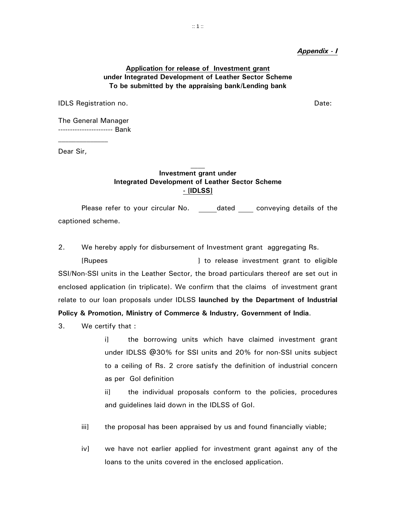#### *Appendix - I*

## **Application for release of Investment grant under Integrated Development of Leather Sector Scheme To be submitted by the appraising bank/Lending bank**

IDLS Registration no. Date:

The General Manager ----------------------- Bank

Dear Sir,

# **Investment grant under Integrated Development of Leather Sector Scheme - [IDLSS]**

 Please refer to your circular No. dated conveying details of the captioned scheme.

2. We hereby apply for disbursement of Investment grant aggregating Rs.

 [Rupees ] to release investment grant to eligible SSI/Non-SSI units in the Leather Sector, the broad particulars thereof are set out in enclosed application (in triplicate). We confirm that the claims of investment grant relate to our loan proposals under IDLSS **launched by the Department of Industrial Policy & Promotion, Ministry of Commerce & Industry, Government of India**.

3. We certify that :

 i] the borrowing units which have claimed investment grant under IDLSS @30% for SSI units and 20% for non-SSI units subject to a ceiling of Rs. 2 crore satisfy the definition of industrial concern as per GoI definition

 ii] the individual proposals conform to the policies, procedures and guidelines laid down in the IDLSS of GoI.

- iii] the proposal has been appraised by us and found financially viable;
- iv] we have not earlier applied for investment grant against any of the loans to the units covered in the enclosed application.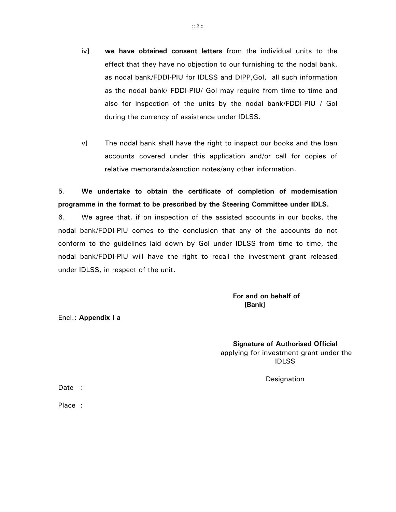- iv] **we have obtained consent letters** from the individual units to the effect that they have no objection to our furnishing to the nodal bank, as nodal bank/FDDI-PIU for IDLSS and DIPP,GoI, all such information as the nodal bank/ FDDI-PIU/ GoI may require from time to time and also for inspection of the units by the nodal bank/FDDI-PIU / GoI during the currency of assistance under IDLSS.
- v] The nodal bank shall have the right to inspect our books and the loan accounts covered under this application and/or call for copies of relative memoranda/sanction notes/any other information.

5. **We undertake to obtain the certificate of completion of modernisation programme in the format to be prescribed by the Steering Committee under IDLS.** 

6. We agree that, if on inspection of the assisted accounts in our books, the nodal bank/FDDI-PIU comes to the conclusion that any of the accounts do not conform to the guidelines laid down by GoI under IDLSS from time to time, the nodal bank/FDDI-PIU will have the right to recall the investment grant released under IDLSS, in respect of the unit.

 **For and on behalf of Example 20**  $\sim$  2008  $\sim$  2008  $\sim$  2008  $\sim$  2008  $\sim$  2008  $\sim$  2008  $\sim$  2008  $\sim$ 

Encl.: **Appendix I a**

**Signature of Authorised Official** applying for investment grant under the IDLSS

Designation

Date :

Place :